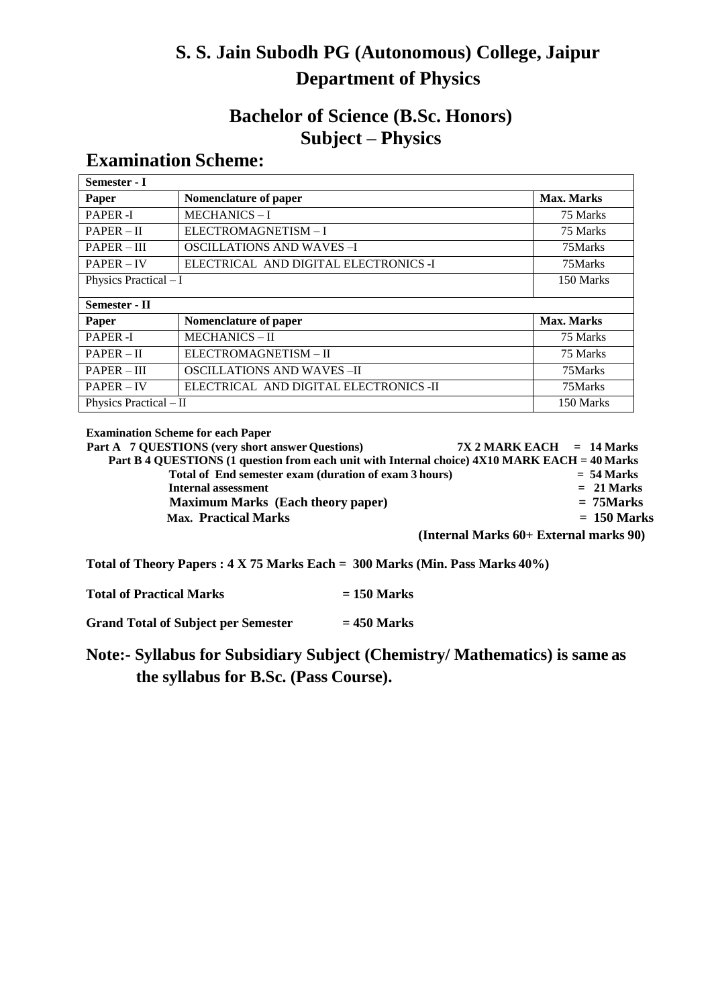# **S. S. Jain Subodh PG (Autonomous) College, Jaipur Department of Physics**

# **Bachelor of Science (B.Sc. Honors) Subject – Physics**

# **Examination Scheme:**

| Semester - I           |                                        |            |  |
|------------------------|----------------------------------------|------------|--|
| Paper                  | Nomenclature of paper                  | Max. Marks |  |
| <b>PAPER-I</b>         | <b>MECHANICS-I</b>                     | 75 Marks   |  |
| $PAPER - II$           | ELECTROMAGNETISM-I                     | 75 Marks   |  |
| $PAPER - III$          | <b>OSCILLATIONS AND WAVES-I</b>        | 75Marks    |  |
| $PAPER - IV$           | ELECTRICAL AND DIGITAL ELECTRONICS -I  | 75Marks    |  |
| Physics Practical $-I$ |                                        | 150 Marks  |  |
|                        |                                        |            |  |
| Semester - II          |                                        |            |  |
| Paper                  | Nomenclature of paper                  | Max. Marks |  |
| PAPER-I                | <b>MECHANICS-II</b>                    | 75 Marks   |  |
| $PAPER - II$           | ELECTROMAGNETISM - II                  | 75 Marks   |  |
| $PAPER - III$          | <b>OSCILLATIONS AND WAVES-II</b>       | 75Marks    |  |
| $PAPER - IV$           | ELECTRICAL AND DIGITAL ELECTRONICS -II | 75Marks    |  |
| Physics Practical - II |                                        | 150 Marks  |  |

**Examination Scheme for each Paper**

**Part A 7 QUESTIONS (very short answer Questions) 7X 2 MARK EACH = 14 Marks Part B 4 QUESTIONS (1 question from each unit with Internal choice) 4X10 MARK EACH = 40 Marks<br>Total of End semester exam (duration of exam 3 hours) = 54 Marks Total of End semester exam (duration of exam 3 hours) = 54 Marks Internal** assessment **Maximum Marks (Each theory paper) = 75Marks Max. Practical Marks = 150 Marks (Internal Marks 60+ External marks 90)**

**Total of Theory Papers : 4 X 75 Marks Each = 300 Marks (Min. Pass Marks 40%)**

**Total of Practical Marks = 150 Marks**

**Grand Total of Subject per Semester = 450 Marks**

**Note:- Syllabus for Subsidiary Subject (Chemistry/ Mathematics) is same as the syllabus for B.Sc. (Pass Course).**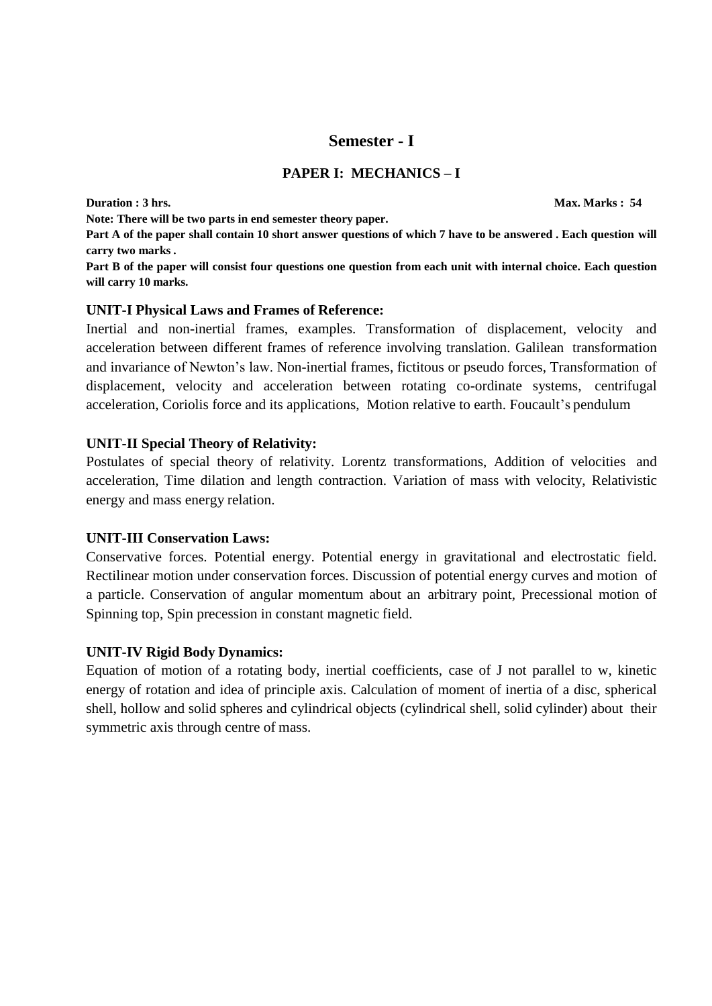# **Semester - I**

### **PAPER I: MECHANICS – I**

**Duration : 3 hrs. Max. Marks : 54 Note: There will be two parts in end semester theory paper. Part A of the paper shall contain 10 short answer questions of which 7 have to be answered . Each question will carry two marks .** Part B of the paper will consist four questions one question from each unit with internal choice. Each question **will carry 10 marks.**

### **UNIT-I Physical Laws and Frames of Reference:**

Inertial and non-inertial frames, examples. Transformation of displacement, velocity and acceleration between different frames of reference involving translation. Galilean transformation and invariance of Newton's law. Non-inertial frames, fictitous or pseudo forces, Transformation of displacement, velocity and acceleration between rotating co-ordinate systems, centrifugal acceleration, Coriolis force and its applications, Motion relative to earth. Foucault's pendulum

### **UNIT-II Special Theory of Relativity:**

Postulates of special theory of relativity. Lorentz transformations, Addition of velocities and acceleration, Time dilation and length contraction. Variation of mass with velocity, Relativistic energy and mass energy relation.

#### **UNIT-III Conservation Laws:**

Conservative forces. Potential energy. Potential energy in gravitational and electrostatic field. Rectilinear motion under conservation forces. Discussion of potential energy curves and motion of a particle. Conservation of angular momentum about an arbitrary point, Precessional motion of Spinning top, Spin precession in constant magnetic field.

#### **UNIT-IV Rigid Body Dynamics:**

Equation of motion of a rotating body, inertial coefficients, case of J not parallel to w, kinetic energy of rotation and idea of principle axis. Calculation of moment of inertia of a disc, spherical shell, hollow and solid spheres and cylindrical objects (cylindrical shell, solid cylinder) about their symmetric axis through centre of mass.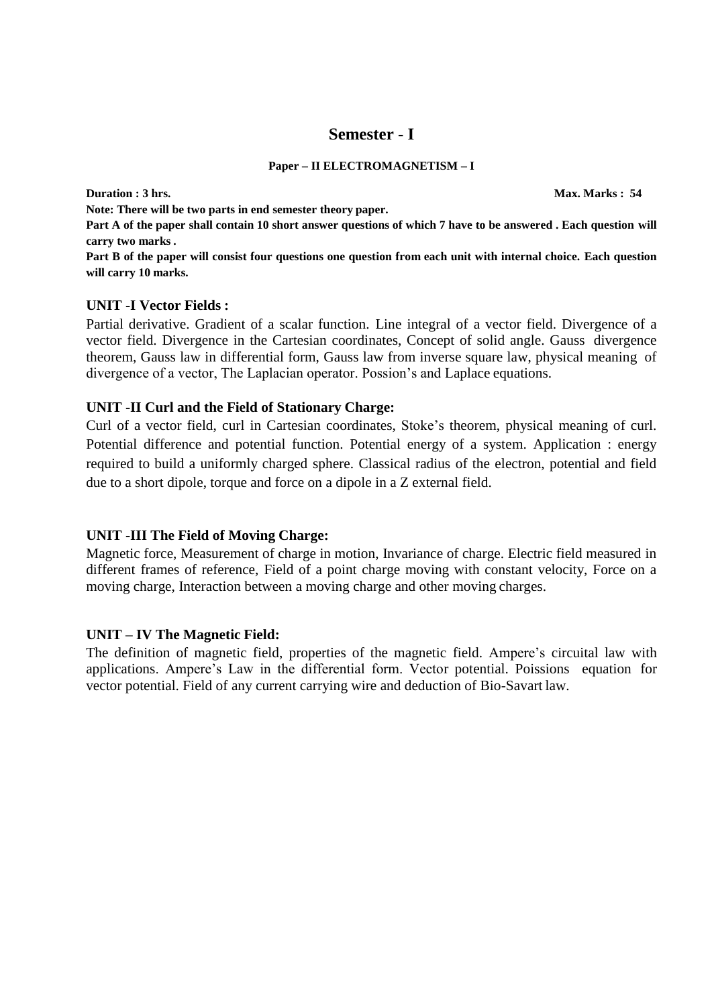# **Semester - I**

#### **Paper – II ELECTROMAGNETISM – I**

**Duration : 3 hrs. Max. Marks : 54** 

**Note: There will be two parts in end semester theory paper.**

**Part A of the paper shall contain 10 short answer questions of which 7 have to be answered . Each question will carry two marks .**

Part B of the paper will consist four questions one question from each unit with internal choice. Each question **will carry 10 marks.**

#### **UNIT -I Vector Fields :**

Partial derivative. Gradient of a scalar function. Line integral of a vector field. Divergence of a vector field. Divergence in the Cartesian coordinates, Concept of solid angle. Gauss divergence theorem, Gauss law in differential form, Gauss law from inverse square law, physical meaning of divergence of a vector, The Laplacian operator. Possion's and Laplace equations.

#### **UNIT -II Curl and the Field of Stationary Charge:**

Curl of a vector field, curl in Cartesian coordinates, Stoke's theorem, physical meaning of curl. Potential difference and potential function. Potential energy of a system. Application : energy required to build a uniformly charged sphere. Classical radius of the electron, potential and field due to a short dipole, torque and force on a dipole in a Z external field.

#### **UNIT -III The Field of Moving Charge:**

Magnetic force, Measurement of charge in motion, Invariance of charge. Electric field measured in different frames of reference, Field of a point charge moving with constant velocity, Force on a moving charge, Interaction between a moving charge and other moving charges.

#### **UNIT – IV The Magnetic Field:**

The definition of magnetic field, properties of the magnetic field. Ampere's circuital law with applications. Ampere's Law in the differential form. Vector potential. Poissions equation for vector potential. Field of any current carrying wire and deduction of Bio-Savart law.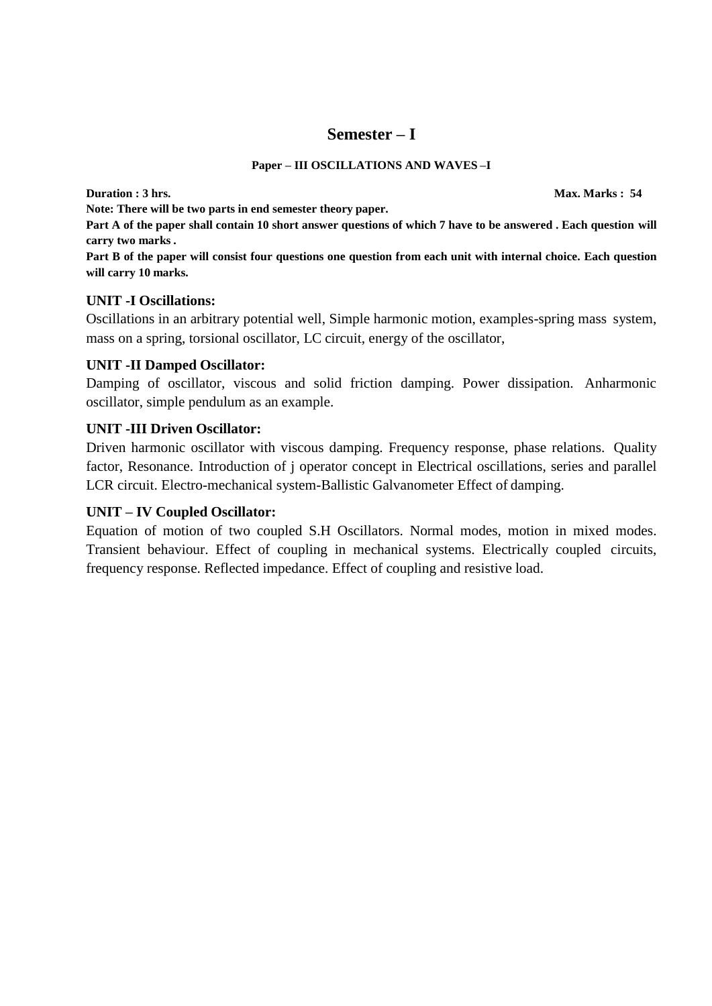# **Semester – I**

#### **Paper – III OSCILLATIONS AND WAVES –I**

**Duration : 3 hrs. Max. Marks : 54**

**Note: There will be two parts in end semester theory paper.**

**Part A of the paper shall contain 10 short answer questions of which 7 have to be answered . Each question will carry two marks .**

Part B of the paper will consist four questions one question from each unit with internal choice. Each question **will carry 10 marks.**

#### **UNIT -I Oscillations:**

Oscillations in an arbitrary potential well, Simple harmonic motion, examples-spring mass system, mass on a spring, torsional oscillator, LC circuit, energy of the oscillator,

### **UNIT -II Damped Oscillator:**

Damping of oscillator, viscous and solid friction damping. Power dissipation. Anharmonic oscillator, simple pendulum as an example.

### **UNIT -III Driven Oscillator:**

Driven harmonic oscillator with viscous damping. Frequency response, phase relations. Quality factor, Resonance. Introduction of j operator concept in Electrical oscillations, series and parallel LCR circuit. Electro-mechanical system-Ballistic Galvanometer Effect of damping.

## **UNIT – IV Coupled Oscillator:**

Equation of motion of two coupled S.H Oscillators. Normal modes, motion in mixed modes. Transient behaviour. Effect of coupling in mechanical systems. Electrically coupled circuits, frequency response. Reflected impedance. Effect of coupling and resistive load.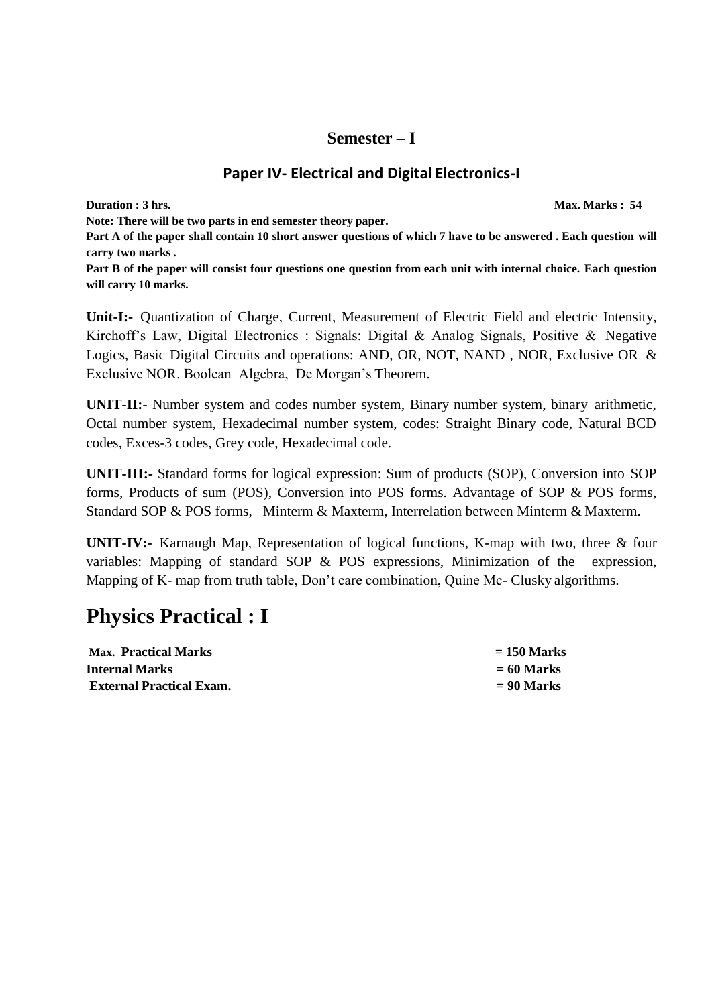# **Semester – I**

# **Paper IV- Electrical and Digital Electronics-I**

**Duration : 3** hrs. **Max. Marks : 54 Note: There will be two parts in end semester theory paper. Part A of the paper shall contain 10 short answer questions of which 7 have to be answered . Each question will carry two marks .** Part B of the paper will consist four questions one question from each unit with internal choice. Each question **will carry 10 marks.**

**Unit-I:-** Quantization of Charge, Current, Measurement of Electric Field and electric Intensity, Kirchoff's Law, Digital Electronics : Signals: Digital & Analog Signals, Positive & Negative Logics, Basic Digital Circuits and operations: AND, OR, NOT, NAND , NOR, Exclusive OR & Exclusive NOR. Boolean Algebra, De Morgan's Theorem.

**UNIT-II:-** Number system and codes number system, Binary number system, binary arithmetic, Octal number system, Hexadecimal number system, codes: Straight Binary code, Natural BCD codes, Exces-3 codes, Grey code, Hexadecimal code.

**UNIT-III:-** Standard forms for logical expression: Sum of products (SOP), Conversion into SOP forms, Products of sum (POS), Conversion into POS forms. Advantage of SOP & POS forms, Standard SOP & POS forms, Minterm & Maxterm, Interrelation between Minterm & Maxterm.

**UNIT-IV:-** Karnaugh Map, Representation of logical functions, K-map with two, three & four variables: Mapping of standard SOP & POS expressions, Minimization of the expression, Mapping of K- map from truth table, Don't care combination, Quine Mc- Clusky algorithms.

# **Physics Practical : I**

| <b>Max. Practical Marks</b>     | $= 150$ Marks |
|---------------------------------|---------------|
| <b>Internal Marks</b>           | $= 60$ Marks  |
| <b>External Practical Exam.</b> | $= 90$ Marks  |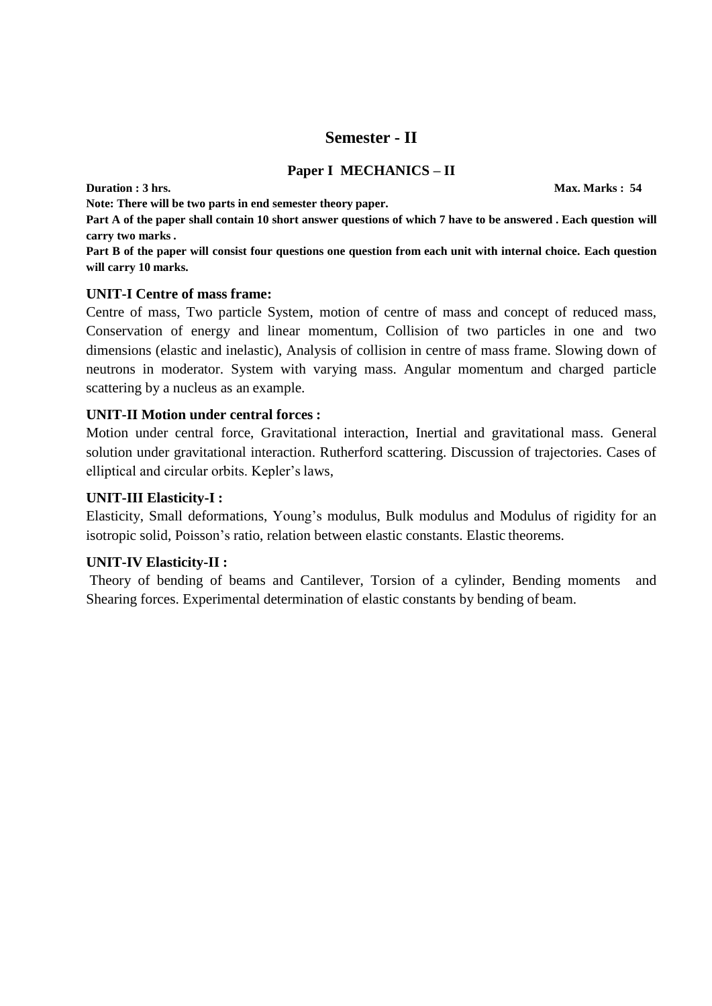# **Semester - II**

#### **Paper I MECHANICS – II**

**Duration : 3 hrs. Max. Marks : 54** 

**Note: There will be two parts in end semester theory paper.**

**Part A of the paper shall contain 10 short answer questions of which 7 have to be answered . Each question will carry two marks .**

Part B of the paper will consist four questions one question from each unit with internal choice. Each question **will carry 10 marks.**

#### **UNIT-I Centre of mass frame:**

Centre of mass, Two particle System, motion of centre of mass and concept of reduced mass, Conservation of energy and linear momentum, Collision of two particles in one and two dimensions (elastic and inelastic), Analysis of collision in centre of mass frame. Slowing down of neutrons in moderator. System with varying mass. Angular momentum and charged particle scattering by a nucleus as an example.

#### **UNIT-II Motion under central forces :**

Motion under central force, Gravitational interaction, Inertial and gravitational mass. General solution under gravitational interaction. Rutherford scattering. Discussion of trajectories. Cases of elliptical and circular orbits. Kepler's laws,

#### **UNIT-III Elasticity-I :**

Elasticity, Small deformations, Young's modulus, Bulk modulus and Modulus of rigidity for an isotropic solid, Poisson's ratio, relation between elastic constants. Elastic theorems.

#### **UNIT-IV Elasticity-II :**

Theory of bending of beams and Cantilever, Torsion of a cylinder, Bending moments and Shearing forces. Experimental determination of elastic constants by bending of beam.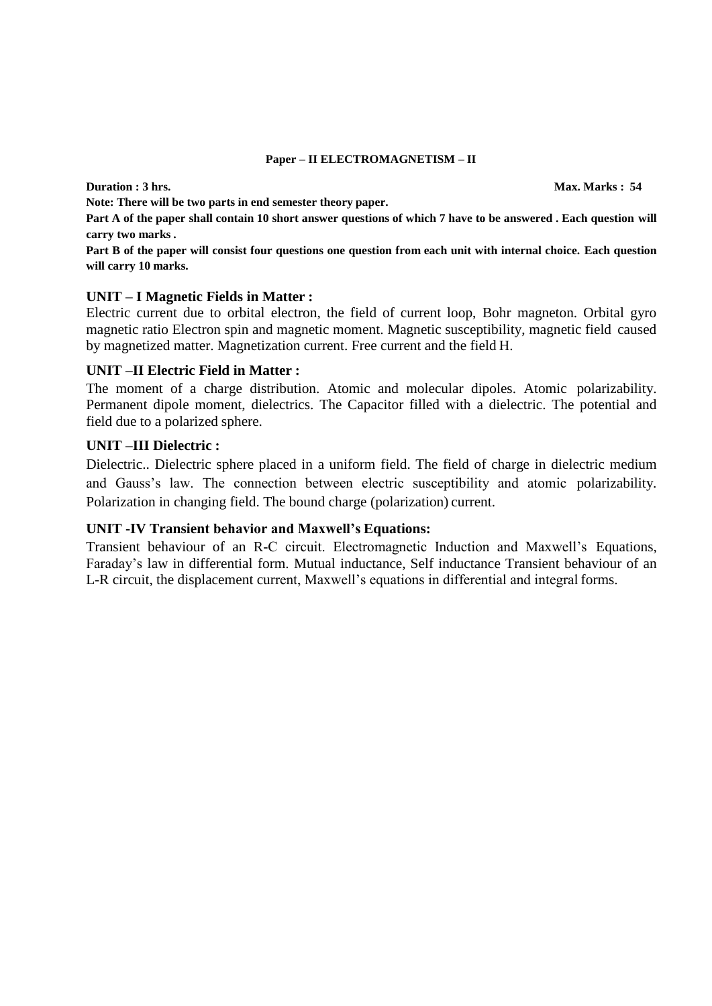#### **Paper – II ELECTROMAGNETISM – II**

**Note: There will be two parts in end semester theory paper.**

**Part A of the paper shall contain 10 short answer questions of which 7 have to be answered . Each question will carry two marks .**

Part B of the paper will consist four questions one question from each unit with internal choice. Each question **will carry 10 marks.**

#### **UNIT – I Magnetic Fields in Matter :**

Electric current due to orbital electron, the field of current loop, Bohr magneton. Orbital gyro magnetic ratio Electron spin and magnetic moment. Magnetic susceptibility, magnetic field caused by magnetized matter. Magnetization current. Free current and the field H.

#### **UNIT –II Electric Field in Matter :**

The moment of a charge distribution. Atomic and molecular dipoles. Atomic polarizability. Permanent dipole moment, dielectrics. The Capacitor filled with a dielectric. The potential and field due to a polarized sphere.

#### **UNIT –III Dielectric :**

Dielectric.. Dielectric sphere placed in a uniform field. The field of charge in dielectric medium and Gauss's law. The connection between electric susceptibility and atomic polarizability. Polarization in changing field. The bound charge (polarization) current.

#### **UNIT -IV Transient behavior and Maxwell's Equations:**

Transient behaviour of an R-C circuit. Electromagnetic Induction and Maxwell's Equations, Faraday's law in differential form. Mutual inductance, Self inductance Transient behaviour of an L-R circuit, the displacement current, Maxwell's equations in differential and integral forms.

**Duration : 3** hrs. **Max. Marks : 54**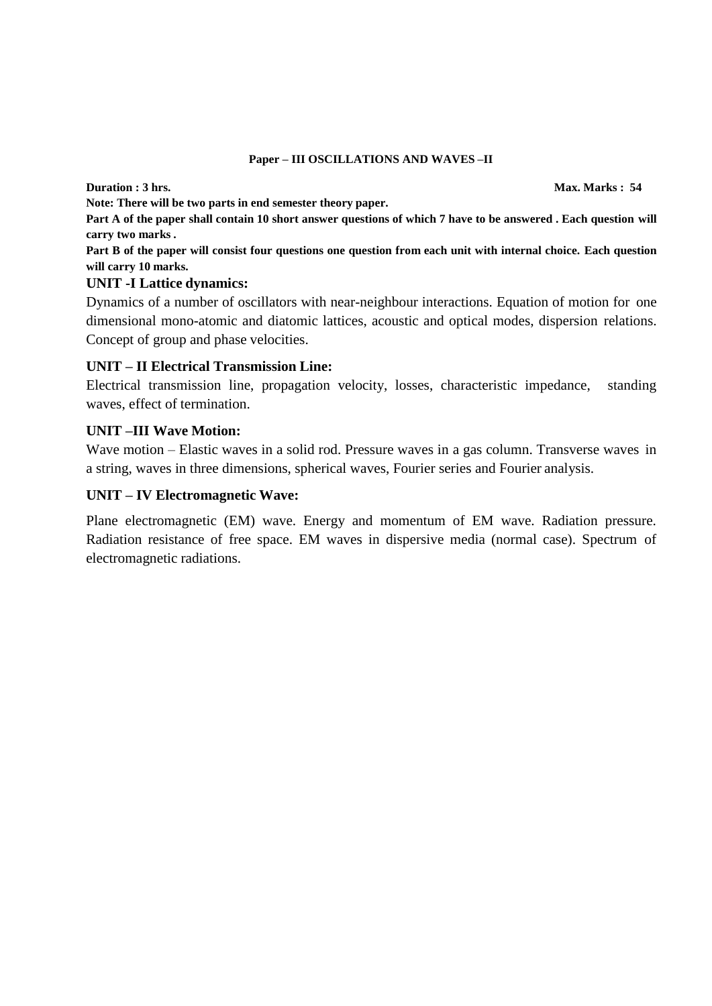#### **Paper – III OSCILLATIONS AND WAVES –II**

**Note: There will be two parts in end semester theory paper.**

**Part A of the paper shall contain 10 short answer questions of which 7 have to be answered . Each question will carry two marks .**

Part B of the paper will consist four questions one question from each unit with internal choice. Each question **will carry 10 marks.**

#### **UNIT -I Lattice dynamics:**

Dynamics of a number of oscillators with near-neighbour interactions. Equation of motion for one dimensional mono-atomic and diatomic lattices, acoustic and optical modes, dispersion relations. Concept of group and phase velocities.

## **UNIT – II Electrical Transmission Line:**

Electrical transmission line, propagation velocity, losses, characteristic impedance, standing waves, effect of termination.

### **UNIT –III Wave Motion:**

Wave motion – Elastic waves in a solid rod. Pressure waves in a gas column. Transverse waves in a string, waves in three dimensions, spherical waves, Fourier series and Fourier analysis.

### **UNIT – IV Electromagnetic Wave:**

Plane electromagnetic (EM) wave. Energy and momentum of EM wave. Radiation pressure. Radiation resistance of free space. EM waves in dispersive media (normal case). Spectrum of electromagnetic radiations.

**Duration : 3** hrs. **Max. Marks : 54**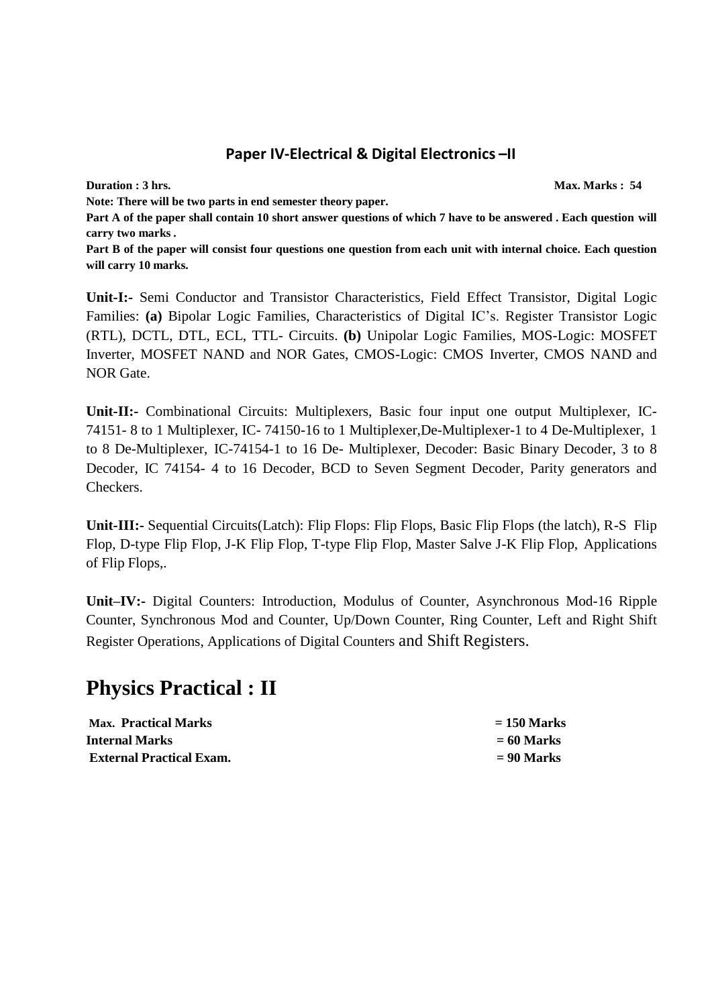# **Paper IV-Electrical & Digital Electronics –II**

**Duration : 3** hrs. **Max. Marks : 54 Max. Marks : 54 Max. Marks : 54** 

**Note: There will be two parts in end semester theory paper.**

**Part A of the paper shall contain 10 short answer questions of which 7 have to be answered . Each question will carry two marks .**

Part B of the paper will consist four questions one question from each unit with internal choice. Each question **will carry 10 marks.**

**Unit-I:-** Semi Conductor and Transistor Characteristics, Field Effect Transistor, Digital Logic Families: **(a)** Bipolar Logic Families, Characteristics of Digital IC's. Register Transistor Logic (RTL), DCTL, DTL, ECL, TTL- Circuits. **(b)** Unipolar Logic Families, MOS-Logic: MOSFET Inverter, MOSFET NAND and NOR Gates, CMOS-Logic: CMOS Inverter, CMOS NAND and NOR Gate.

**Unit-II:-** Combinational Circuits: Multiplexers, Basic four input one output Multiplexer, IC-74151- 8 to 1 Multiplexer, IC- 74150-16 to 1 Multiplexer,De-Multiplexer-1 to 4 De-Multiplexer, 1 to 8 De-Multiplexer, IC-74154-1 to 16 De- Multiplexer, Decoder: Basic Binary Decoder, 3 to 8 Decoder, IC 74154- 4 to 16 Decoder, BCD to Seven Segment Decoder, Parity generators and Checkers.

**Unit-III:-** Sequential Circuits(Latch): Flip Flops: Flip Flops, Basic Flip Flops (the latch), R-S Flip Flop, D-type Flip Flop, J-K Flip Flop, T-type Flip Flop, Master Salve J-K Flip Flop, Applications of Flip Flops,.

**Unit–IV:-** Digital Counters: Introduction, Modulus of Counter, Asynchronous Mod-16 Ripple Counter, Synchronous Mod and Counter, Up/Down Counter, Ring Counter, Left and Right Shift Register Operations, Applications of Digital Counters and Shift Registers.

# **Physics Practical : II**

| <b>Max. Practical Marks</b>     | $= 150$ Marks |
|---------------------------------|---------------|
| <b>Internal Marks</b>           | $= 60$ Marks  |
| <b>External Practical Exam.</b> | $= 90$ Marks  |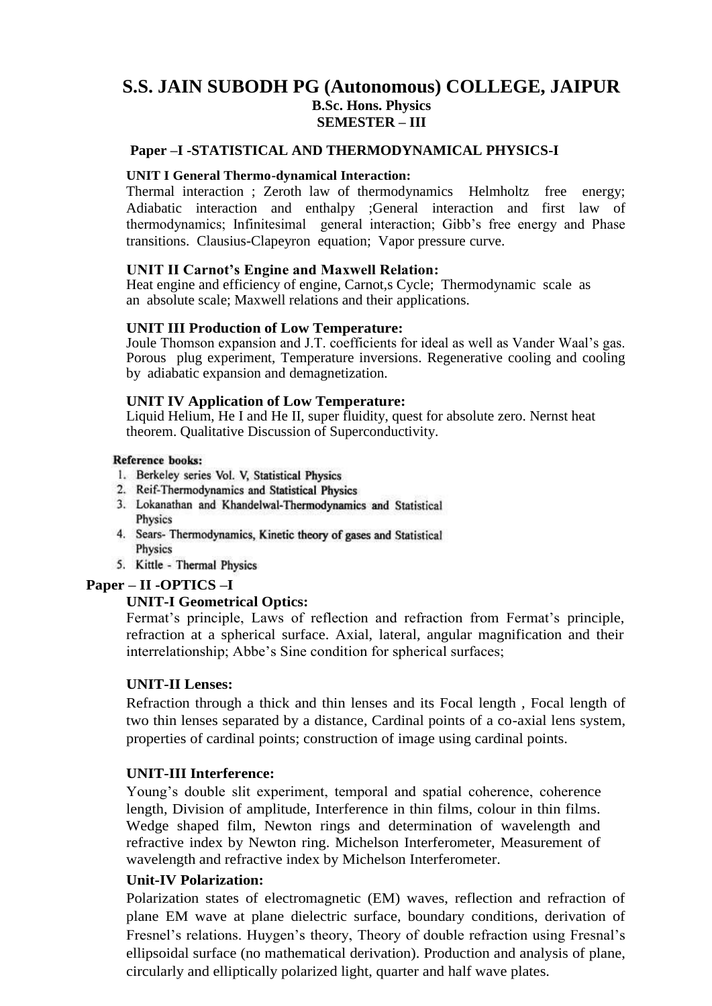# **S.S. JAIN SUBODH PG (Autonomous) COLLEGE, JAIPUR B.Sc. Hons. Physics SEMESTER – III**

#### **Paper –I -STATISTICAL AND THERMODYNAMICAL PHYSICS-I**

#### **UNIT I General Thermo-dynamical Interaction:**

Thermal interaction ; Zeroth law of thermodynamics Helmholtz free energy; Adiabatic interaction and enthalpy ;General interaction and first law of thermodynamics; Infinitesimal general interaction; Gibb's free energy and Phase transitions. Clausius-Clapeyron equation; Vapor pressure curve.

#### **UNIT II Carnot's Engine and Maxwell Relation:**

Heat engine and efficiency of engine, Carnot,s Cycle; Thermodynamic scale as an absolute scale; Maxwell relations and their applications.

#### **UNIT III Production of Low Temperature:**

Joule Thomson expansion and J.T. coefficients for ideal as well as Vander Waal's gas. Porous plug experiment, Temperature inversions. Regenerative cooling and cooling by adiabatic expansion and demagnetization.

### **UNIT IV Application of Low Temperature:**

Liquid Helium, He I and He II, super fluidity, quest for absolute zero. Nernst heat theorem. Qualitative Discussion of Superconductivity.

#### **Reference books:**

- 1. Berkeley series Vol. V, Statistical Physics
- 2. Reif-Thermodynamics and Statistical Physics
- 3. Lokanathan and Khandelwal-Thermodynamics and Statistical Physics
- 4. Sears- Thermodynamics, Kinetic theory of gases and Statistical Physics
- 5. Kittle Thermal Physics

#### **Paper – II -OPTICS –I**

#### **UNIT-I Geometrical Optics:**

Fermat's principle, Laws of reflection and refraction from Fermat's principle, refraction at a spherical surface. Axial, lateral, angular magnification and their interrelationship; Abbe's Sine condition for spherical surfaces;

#### **UNIT-II Lenses:**

Refraction through a thick and thin lenses and its Focal length , Focal length of two thin lenses separated by a distance, Cardinal points of a co-axial lens system, properties of cardinal points; construction of image using cardinal points.

#### **UNIT-III Interference:**

Young's double slit experiment, temporal and spatial coherence, coherence length, Division of amplitude, Interference in thin films, colour in thin films. Wedge shaped film, Newton rings and determination of wavelength and refractive index by Newton ring. Michelson Interferometer, Measurement of wavelength and refractive index by Michelson Interferometer.

#### **Unit-IV Polarization:**

Polarization states of electromagnetic (EM) waves, reflection and refraction of plane EM wave at plane dielectric surface, boundary conditions, derivation of Fresnel's relations. Huygen's theory, Theory of double refraction using Fresnal's ellipsoidal surface (no mathematical derivation). Production and analysis of plane, circularly and elliptically polarized light, quarter and half wave plates.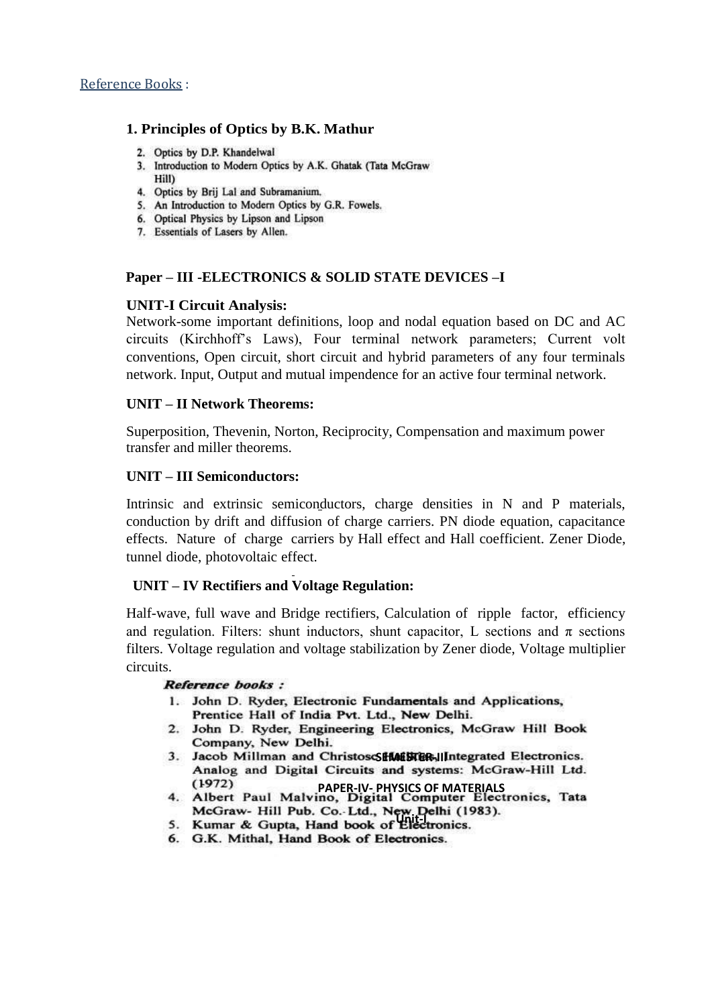#### **1. Principles of Optics by B.K. Mathur**

- 2. Optics by D.P. Khandelwal
- 3. Introduction to Modern Optics by A.K. Ghatak (Tata McGraw Hill)
- 4. Optics by Brij Lal and Subramanium.
- 5. An Introduction to Modern Optics by G.R. Fowels.
- 6. Optical Physics by Lipson and Lipson
- 7. Essentials of Lasers by Allen.

#### **Paper – III -ELECTRONICS & SOLID STATE DEVICES –I**

### **UNIT-I Circuit Analysis:**

Network-some important definitions, loop and nodal equation based on DC and AC circuits (Kirchhoff's Laws), Four terminal network parameters; Current volt conventions, Open circuit, short circuit and hybrid parameters of any four terminals network. Input, Output and mutual impendence for an active four terminal network.

#### **UNIT – II Network Theorems:**

Superposition, Thevenin, Norton, Reciprocity, Compensation and maximum power transfer and miller theorems.

#### **UNIT – III Semiconductors:**

Intrinsic and extrinsic semiconductors, charge densities in N and P materials, conduction by drift and diffusion of charge carriers. PN diode equation, capacitance effects. Nature of charge carriers by Hall effect and Hall coefficient. Zener Diode, tunnel diode, photovoltaic effect.

## **UNIT – IV Rectifiers and Voltage Regulation:**

Half-wave, full wave and Bridge rectifiers, Calculation of ripple factor, efficiency and regulation. Filters: shunt inductors, shunt capacitor, L sections and  $\pi$  sections filters. Voltage regulation and voltage stabilization by Zener diode, Voltage multiplier circuits.

#### Reference books:

- 1. John D. Ryder, Electronic Fundamentals and Applications, Prentice Hall of India Pvt. Ltd., New Delhi.
- 2. John D. Ryder, Engineering Electronics, McGraw Hill Book Company, New Delhi.
- 3. Jacob Millman and ChristoscSHMESTER-JIIntegrated Electronics.<br>Analog and Digital Circuits and systems: McGraw-Hill Ltd.
- **PAPER-IV-PHYSICS OF MATERIALS**<br>4. Albert Paul Malvino, Digital Computer Electronics, Tata McGraw- Hill Pub. Co. Ltd., New Delhi (1983).<br>5. Kumar & Gupta, Hand book of Electronics.
- 
- 6. G.K. Mithal, Hand Book of Electronics.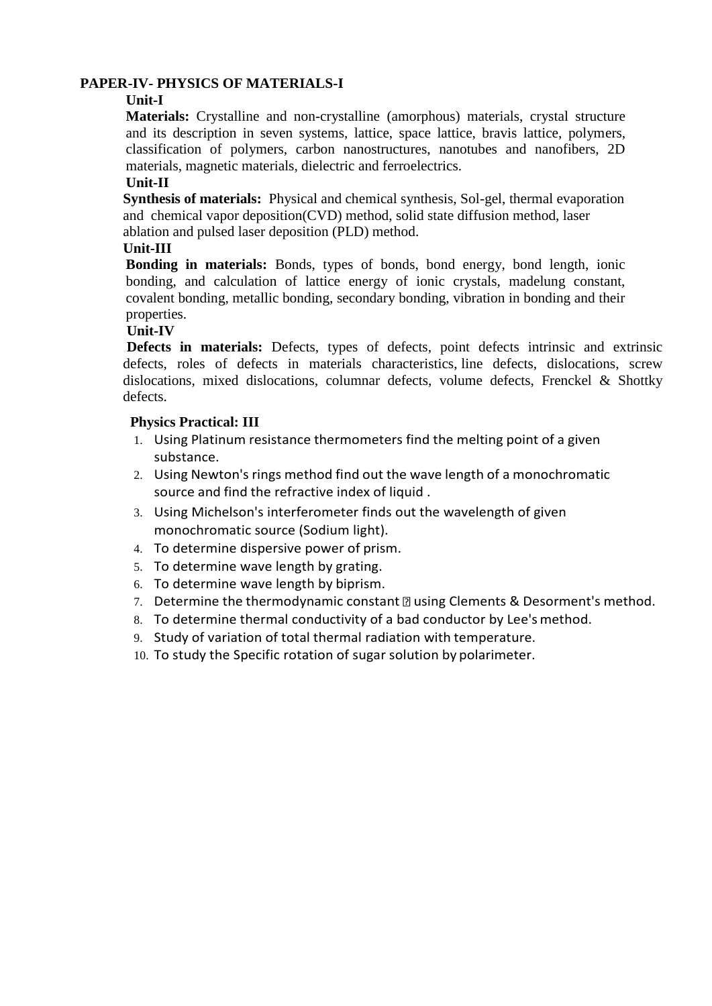## **PAPER-IV- PHYSICS OF MATERIALS-I**

#### **Unit-I**

**Materials:** Crystalline and non-crystalline (amorphous) materials, crystal structure and its description in seven systems, lattice, space lattice, bravis lattice, polymers, classification of polymers, carbon nanostructures, nanotubes and nanofibers, 2D materials, magnetic materials, dielectric and ferroelectrics.

## **Unit-II**

 **Synthesis of materials:** Physical and chemical synthesis, Sol-gel, thermal evaporation and chemical vapor deposition(CVD) method, solid state diffusion method, laser ablation and pulsed laser deposition (PLD) method.

## **Unit-III**

**Bonding in materials:** Bonds, types of bonds, bond energy, bond length, ionic bonding, and calculation of lattice energy of ionic crystals, madelung constant, covalent bonding, metallic bonding, secondary bonding, vibration in bonding and their properties.

### **Unit-IV**

 **Defects in materials:** Defects, types of defects, point defects intrinsic and extrinsic defects, roles of defects in materials characteristics, line defects, dislocations, screw dislocations, mixed dislocations, columnar defects, volume defects, Frenckel & Shottky defects.

### **Physics Practical: III**

- 1. Using Platinum resistance thermometers find the melting point of a given substance.
- 2. Using Newton's rings method find out the wave length of a monochromatic source and find the refractive index of liquid .
- 3. Using Michelson's interferometer finds out the wavelength of given monochromatic source (Sodium light).
- 4. To determine dispersive power of prism.
- 5. To determine wave length by grating.
- 6. To determine wave length by biprism.
- 7. Determine the thermodynamic constant  $\mathbb D$  using Clements & Desorment's method.
- 8. To determine thermal conductivity of a bad conductor by Lee's method.
- 9. Study of variation of total thermal radiation with temperature.
- 10. To study the Specific rotation of sugar solution by polarimeter.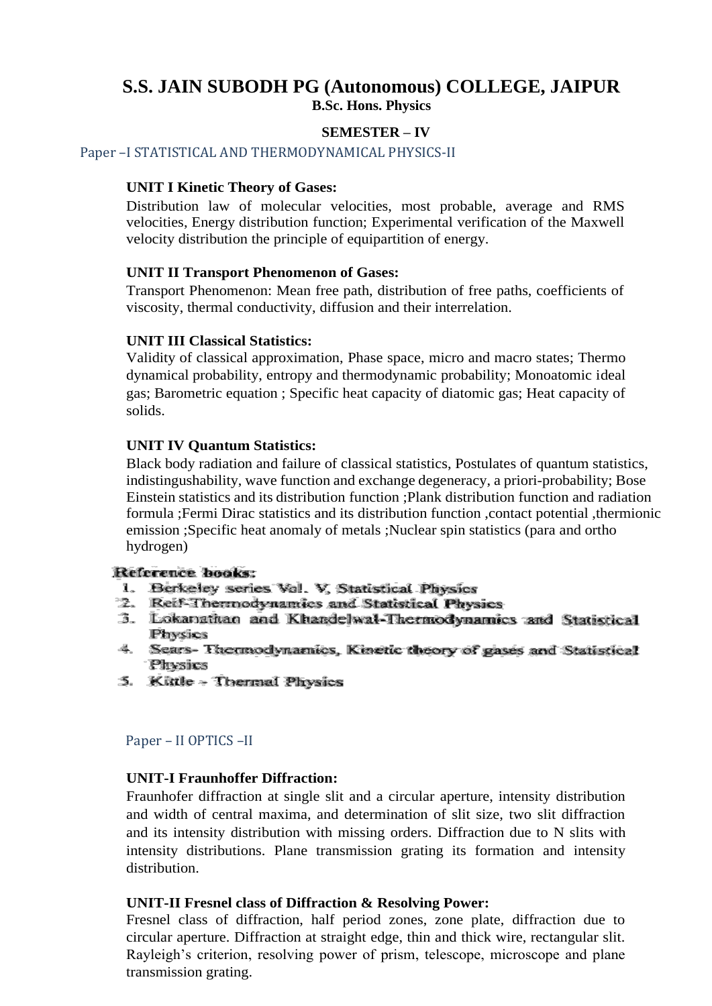# **S.S. JAIN SUBODH PG (Autonomous) COLLEGE, JAIPUR B.Sc. Hons. Physics**

## **SEMESTER – IV**

Paper –I STATISTICAL AND THERMODYNAMICAL PHYSICS-II

### **UNIT I Kinetic Theory of Gases:**

Distribution law of molecular velocities, most probable, average and RMS velocities, Energy distribution function; Experimental verification of the Maxwell velocity distribution the principle of equipartition of energy.

#### **UNIT II Transport Phenomenon of Gases:**

Transport Phenomenon: Mean free path, distribution of free paths, coefficients of viscosity, thermal conductivity, diffusion and their interrelation.

#### **UNIT III Classical Statistics:**

Validity of classical approximation, Phase space, micro and macro states; Thermo dynamical probability, entropy and thermodynamic probability; Monoatomic ideal gas; Barometric equation ; Specific heat capacity of diatomic gas; Heat capacity of solids.

#### **UNIT IV Quantum Statistics:**

Black body radiation and failure of classical statistics, Postulates of quantum statistics, indistingushability, wave function and exchange degeneracy, a priori-probability; Bose Einstein statistics and its distribution function ;Plank distribution function and radiation formula ;Fermi Dirac statistics and its distribution function ,contact potential ,thermionic emission ;Specific heat anomaly of metals ;Nuclear spin statistics (para and ortho hydrogen)

#### Reference books:

- 1. Berkeley series Vol. V, Statistical Physics
- 2. Reif-Thermodynamics and Statistical Physics
- 3. Lokanathan and Khandelwal-Thermodynamics and Statistical Physics
- 4. Sears- Thermodynamics, Kinetic theory of gases and Statistical Physics
- 5. Kittle Thermal Physics

#### Paper – II OPTICS –II

## **UNIT-I Fraunhoffer Diffraction:**

Fraunhofer diffraction at single slit and a circular aperture, intensity distribution and width of central maxima, and determination of slit size, two slit diffraction and its intensity distribution with missing orders. Diffraction due to N slits with intensity distributions. Plane transmission grating its formation and intensity distribution.

#### **UNIT-II Fresnel class of Diffraction & Resolving Power:**

Fresnel class of diffraction, half period zones, zone plate, diffraction due to circular aperture. Diffraction at straight edge, thin and thick wire, rectangular slit. Rayleigh's criterion, resolving power of prism, telescope, microscope and plane transmission grating.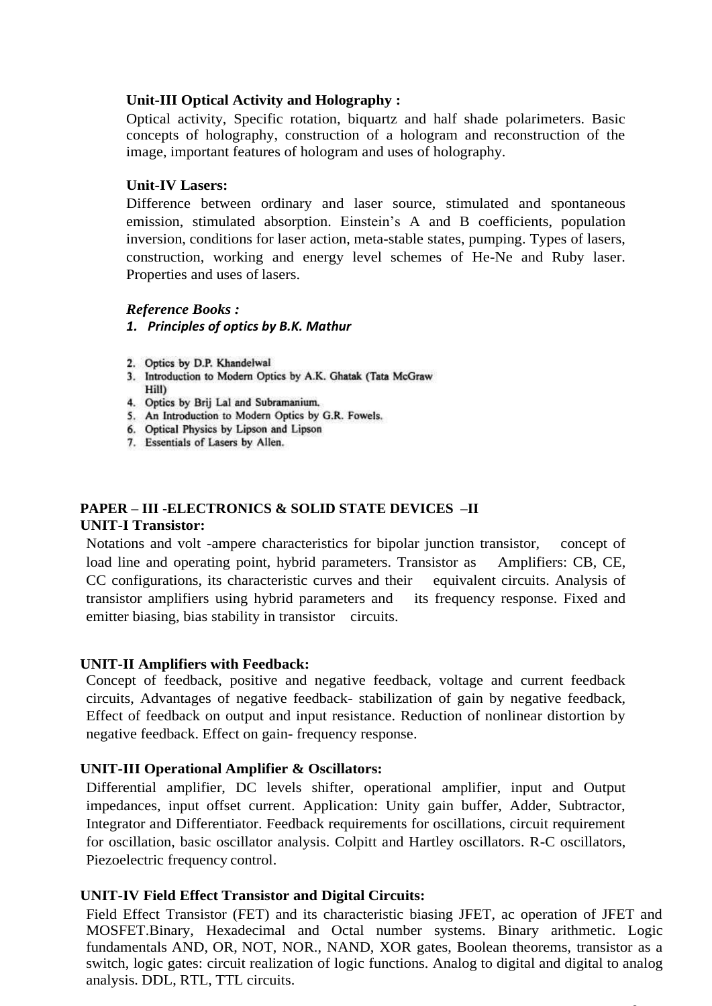## **Unit-III Optical Activity and Holography :**

Optical activity, Specific rotation, biquartz and half shade polarimeters. Basic concepts of holography, construction of a hologram and reconstruction of the image, important features of hologram and uses of holography.

### **Unit-IV Lasers:**

Difference between ordinary and laser source, stimulated and spontaneous emission, stimulated absorption. Einstein's A and B coefficients, population inversion, conditions for laser action, meta-stable states, pumping. Types of lasers, construction, working and energy level schemes of He-Ne and Ruby laser. Properties and uses of lasers.

### *Reference Books :*

- *1. Principles of optics by B.K. Mathur*
- 2. Optics by D.P. Khandelwal
- 3. Introduction to Modern Optics by A.K. Ghatak (Tata McGraw Hill)
- 4. Optics by Brij Lal and Subramanium.
- 5. An Introduction to Modern Optics by G.R. Fowels.
- 6. Optical Physics by Lipson and Lipson
- 7. Essentials of Lasers by Allen.

# **PAPER – III -ELECTRONICS & SOLID STATE DEVICES –II UNIT-I Transistor:**

Notations and volt -ampere characteristics for bipolar junction transistor, concept of load line and operating point, hybrid parameters. Transistor as Amplifiers: CB, CE, CC configurations, its characteristic curves and their equivalent circuits. Analysis of transistor amplifiers using hybrid parameters and its frequency response. Fixed and emitter biasing, bias stability in transistor circuits.

## **UNIT-II Amplifiers with Feedback:**

Concept of feedback, positive and negative feedback, voltage and current feedback circuits, Advantages of negative feedback- stabilization of gain by negative feedback, Effect of feedback on output and input resistance. Reduction of nonlinear distortion by negative feedback. Effect on gain- frequency response.

## **UNIT-III Operational Amplifier & Oscillators:**

Differential amplifier, DC levels shifter, operational amplifier, input and Output impedances, input offset current. Application: Unity gain buffer, Adder, Subtractor, Integrator and Differentiator. Feedback requirements for oscillations, circuit requirement for oscillation, basic oscillator analysis. Colpitt and Hartley oscillators. R-C oscillators, Piezoelectric frequency control.

#### **UNIT-IV Field Effect Transistor and Digital Circuits:**

Field Effect Transistor (FET) and its characteristic biasing JFET, ac operation of JFET and MOSFET.Binary, Hexadecimal and Octal number systems. Binary arithmetic. Logic fundamentals AND, OR, NOT, NOR., NAND, XOR gates, Boolean theorems, transistor as a switch, logic gates: circuit realization of logic functions. Analog to digital and digital to analog analysis. DDL, RTL, TTL circuits.

 $\overline{a}$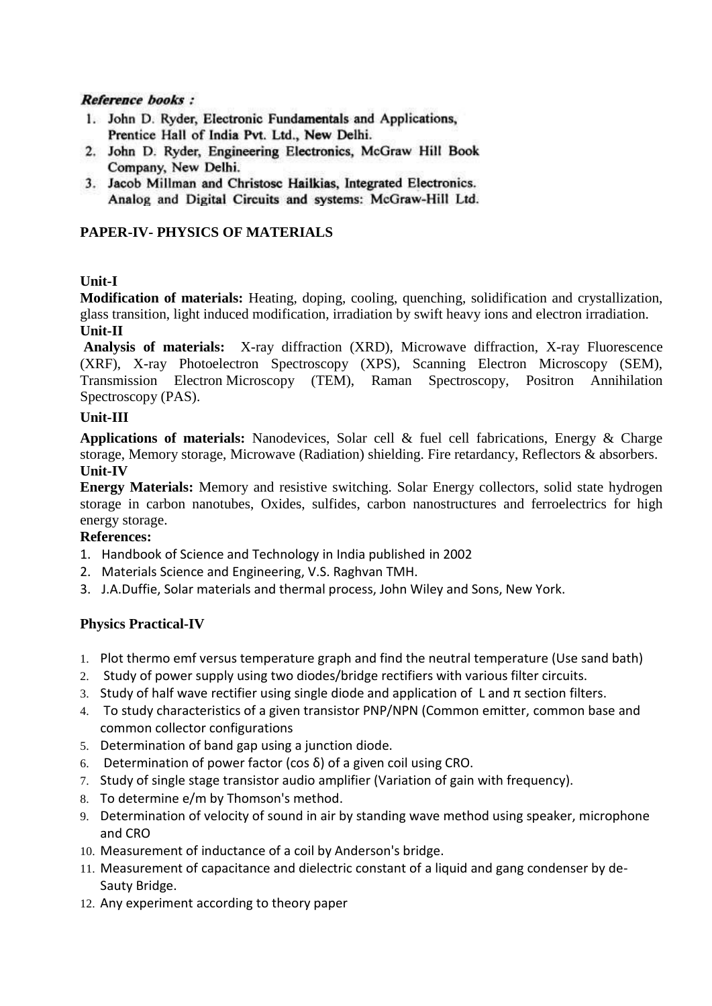### **Reference books:**

- 1. John D. Ryder, Electronic Fundamentals and Applications, Prentice Hall of India Pvt. Ltd., New Delhi.
- 2. John D. Ryder, Engineering Electronics, McGraw Hill Book Company, New Delhi.
- 3. Jacob Millman and Christosc Hailkias, Integrated Electronics. Analog and Digital Circuits and systems: McGraw-Hill Ltd.

## **PAPER-IV- PHYSICS OF MATERIALS**

## **Unit-I**

**Modification of materials:** Heating, doping, cooling, quenching, solidification and crystallization, glass transition, light induced modification, irradiation by swift heavy ions and electron irradiation. **Unit-II**

**Analysis of materials:** X-ray diffraction (XRD), Microwave diffraction, X-ray Fluorescence (XRF), X-ray Photoelectron Spectroscopy (XPS), Scanning Electron Microscopy (SEM), Transmission Electron Microscopy (TEM), Raman Spectroscopy, Positron Annihilation Spectroscopy (PAS).

## **Unit-III**

**Applications of materials:** Nanodevices, Solar cell & fuel cell fabrications, Energy & Charge storage, Memory storage, Microwave (Radiation) shielding. Fire retardancy, Reflectors & absorbers. **Unit-IV**

**Energy Materials:** Memory and resistive switching. Solar Energy collectors, solid state hydrogen storage in carbon nanotubes, Oxides, sulfides, carbon nanostructures and ferroelectrics for high energy storage.

## **References:**

- 1. Handbook of Science and Technology in India published in 2002
- 2. Materials Science and Engineering, V.S. Raghvan TMH.
- 3. J.A.Duffie, Solar materials and thermal process, John Wiley and Sons, New York.

## **Physics Practical-IV**

- 1. Plot thermo emf versus temperature graph and find the neutral temperature (Use sand bath)
- 2. Study of power supply using two diodes/bridge rectifiers with various filter circuits.
- 3. Study of half wave rectifier using single diode and application of L and  $\pi$  section filters.
- 4. To study characteristics of a given transistor PNP/NPN (Common emitter, common base and common collector configurations
- 5. Determination of band gap using a junction diode.
- 6. Determination of power factor (cos δ) of a given coil using CRO.
- 7. Study of single stage transistor audio amplifier (Variation of gain with frequency).
- 8. To determine e/m by Thomson's method.
- 9. Determination of velocity of sound in air by standing wave method using speaker, microphone and CRO
- 10. Measurement of inductance of a coil by Anderson's bridge.
- 11. Measurement of capacitance and dielectric constant of a liquid and gang condenser by de-Sauty Bridge.
- 12. Any experiment according to theory paper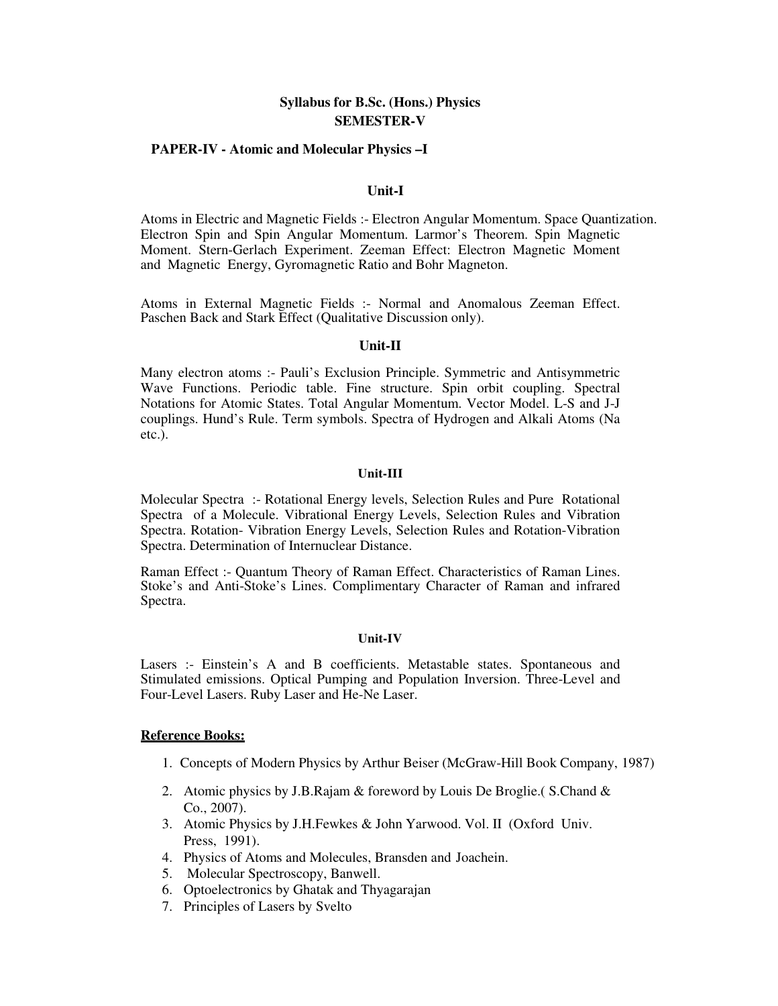#### **Syllabus for B.Sc. (Hons.) Physics SEMESTER-V**

#### **PAPER-IV - Atomic and Molecular Physics –I**

#### **Unit-I**

Atoms in Electric and Magnetic Fields :- Electron Angular Momentum. Space Quantization. Electron Spin and Spin Angular Momentum. Larmor's Theorem. Spin Magnetic Moment. Stern-Gerlach Experiment. Zeeman Effect: Electron Magnetic Moment and Magnetic Energy, Gyromagnetic Ratio and Bohr Magneton.

Atoms in External Magnetic Fields :- Normal and Anomalous Zeeman Effect. Paschen Back and Stark Effect (Qualitative Discussion only).

#### **Unit-II**

Many electron atoms :- Pauli's Exclusion Principle. Symmetric and Antisymmetric Wave Functions. Periodic table. Fine structure. Spin orbit coupling. Spectral Notations for Atomic States. Total Angular Momentum. Vector Model. L-S and J-J couplings. Hund's Rule. Term symbols. Spectra of Hydrogen and Alkali Atoms (Na etc.).

#### **Unit-III**

Molecular Spectra :- Rotational Energy levels, Selection Rules and Pure Rotational Spectra of a Molecule. Vibrational Energy Levels, Selection Rules and Vibration Spectra. Rotation- Vibration Energy Levels, Selection Rules and Rotation-Vibration Spectra. Determination of Internuclear Distance.

Raman Effect :- Quantum Theory of Raman Effect. Characteristics of Raman Lines. Stoke's and Anti-Stoke's Lines. Complimentary Character of Raman and infrared Spectra.

#### **Unit-IV**

Lasers :- Einstein's A and B coefficients. Metastable states. Spontaneous and Stimulated emissions. Optical Pumping and Population Inversion. Three-Level and Four-Level Lasers. Ruby Laser and He-Ne Laser.

#### **Reference Books:**

- 1. Concepts of Modern Physics by Arthur Beiser (McGraw-Hill Book Company, 1987)
- 2. Atomic physics by J.B.Rajam & foreword by Louis De Broglie.( S.Chand & Co., 2007).
- 3. Atomic Physics by J.H.Fewkes & John Yarwood. Vol. II (Oxford Univ. Press, 1991).
- 4. Physics of Atoms and Molecules, Bransden and Joachein.
- 5. Molecular Spectroscopy, Banwell.
- 6. Optoelectronics by Ghatak and Thyagarajan
- 7. Principles of Lasers by Svelto